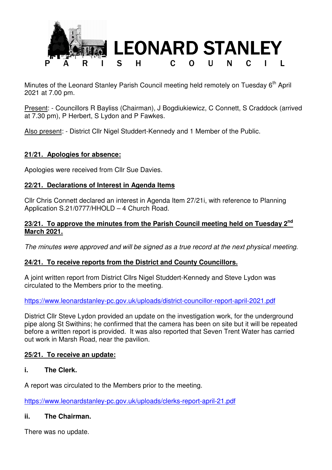

Minutes of the Leonard Stanley Parish Council meeting held remotely on Tuesday 6<sup>th</sup> April 2021 at 7.00 pm.

Present: - Councillors R Bayliss (Chairman), J Bogdiukiewicz, C Connett, S Craddock (arrived at 7.30 pm), P Herbert, S Lydon and P Fawkes.

Also present: - District Cllr Nigel Studdert-Kennedy and 1 Member of the Public.

# **21/21. Apologies for absence:**

Apologies were received from Cllr Sue Davies.

# **22/21. Declarations of Interest in Agenda Items**

Cllr Chris Connett declared an interest in Agenda Item 27/21i, with reference to Planning Application S.21/0777/HHOLD – 4 Church Road.

### **23/21. To approve the minutes from the Parish Council meeting held on Tuesday 2nd March 2021.**

*The minutes were approved and will be signed as a true record at the next physical meeting.* 

# **24/21. To receive reports from the District and County Councillors.**

A joint written report from District Cllrs Nigel Studdert-Kennedy and Steve Lydon was circulated to the Members prior to the meeting.

https://www.leonardstanley-pc.gov.uk/uploads/district-councillor-report-april-2021.pdf

District Cllr Steve Lydon provided an update on the investigation work, for the underground pipe along St Swithins; he confirmed that the camera has been on site but it will be repeated before a written report is provided. It was also reported that Seven Trent Water has carried out work in Marsh Road, near the pavilion.

# **25/21. To receive an update:**

# **i. The Clerk.**

A report was circulated to the Members prior to the meeting.

https://www.leonardstanley-pc.gov.uk/uploads/clerks-report-april-21.pdf

# **ii. The Chairman.**

There was no update.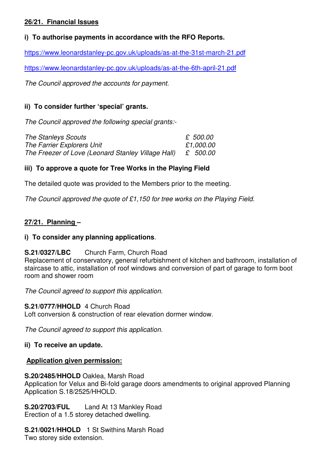# **26/21. Financial Issues**

# **i) To authorise payments in accordance with the RFO Reports.**

https://www.leonardstanley-pc.gov.uk/uploads/as-at-the-31st-march-21.pdf

https://www.leonardstanley-pc.gov.uk/uploads/as-at-the-6th-april-21.pdf

*The Council approved the accounts for payment.* 

# **ii) To consider further 'special' grants.**

*The Council approved the following special grants:-*

| The Stanleys Scouts                                | £ 500.00  |
|----------------------------------------------------|-----------|
| The Farrier Explorers Unit                         | £1,000.00 |
| The Freezer of Love (Leonard Stanley Village Hall) | £ 500.00  |

# **iii) To approve a quote for Tree Works in the Playing Field**

The detailed quote was provided to the Members prior to the meeting.

*The Council approved the quote of £1,150 for tree works on the Playing Field.* 

# **27/21. Planning –**

# **i) To consider any planning applications**.

**S.21/0327/LBC** Church Farm, Church Road Replacement of conservatory, general refurbishment of kitchen and bathroom, installation of staircase to attic, installation of roof windows and conversion of part of garage to form boot room and shower room

*The Council agreed to support this application.* 

**S.21/0777/HHOLD** 4 Church Road Loft conversion & construction of rear elevation dormer window.

*The Council agreed to support this application.* 

# **ii) To receive an update.**

#### **Application given permission:**

#### **S.20/2485/HHOLD** Oaklea, Marsh Road

Application for Velux and Bi-fold garage doors amendments to original approved Planning Application S.18/2525/HHOLD.

**S.20/2703/FUL** Land At 13 Mankley Road Erection of a 1.5 storey detached dwelling.

**S.21/0021/HHOLD** 1 St Swithins Marsh Road Two storey side extension.